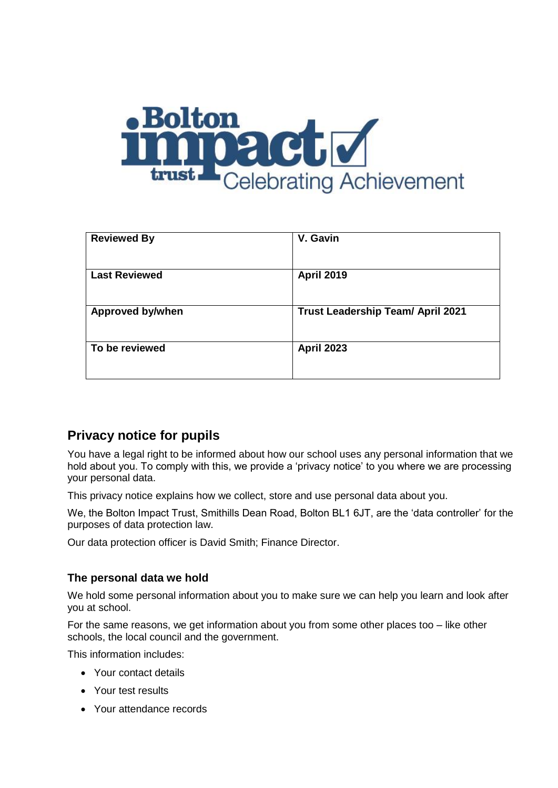

| <b>Reviewed By</b>      | V. Gavin                                 |
|-------------------------|------------------------------------------|
| <b>Last Reviewed</b>    | <b>April 2019</b>                        |
| <b>Approved by/when</b> | <b>Trust Leadership Team/ April 2021</b> |
| To be reviewed          | <b>April 2023</b>                        |
|                         |                                          |

# **Privacy notice for pupils**

You have a legal right to be informed about how our school uses any personal information that we hold about you. To comply with this, we provide a 'privacy notice' to you where we are processing your personal data.

This privacy notice explains how we collect, store and use personal data about you.

We, the Bolton Impact Trust, Smithills Dean Road, Bolton BL1 6JT, are the 'data controller' for the purposes of data protection law.

Our data protection officer is David Smith; Finance Director.

## **The personal data we hold**

We hold some personal information about you to make sure we can help you learn and look after you at school.

For the same reasons, we get information about you from some other places too – like other schools, the local council and the government.

This information includes:

- Your contact details
- Your test results
- Your attendance records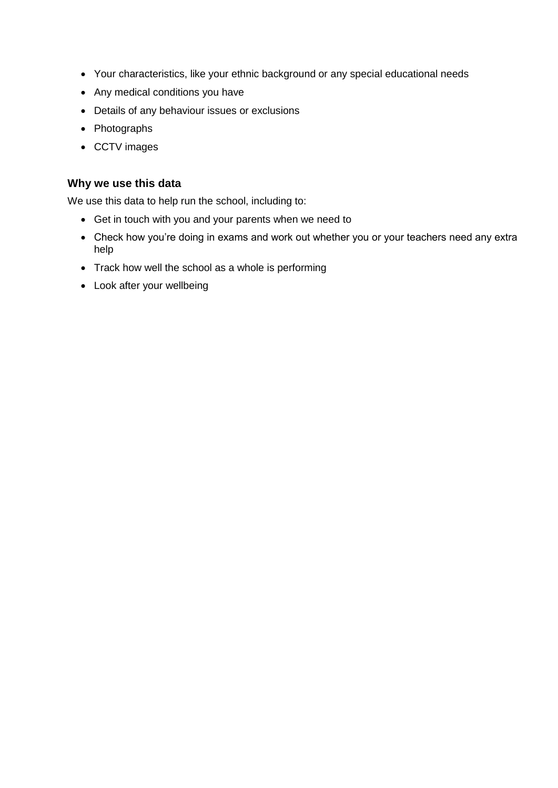- Your characteristics, like your ethnic background or any special educational needs
- Any medical conditions you have
- Details of any behaviour issues or exclusions
- Photographs
- CCTV images

## **Why we use this data**

We use this data to help run the school, including to:

- Get in touch with you and your parents when we need to
- Check how you're doing in exams and work out whether you or your teachers need any extra help
- Track how well the school as a whole is performing
- Look after your wellbeing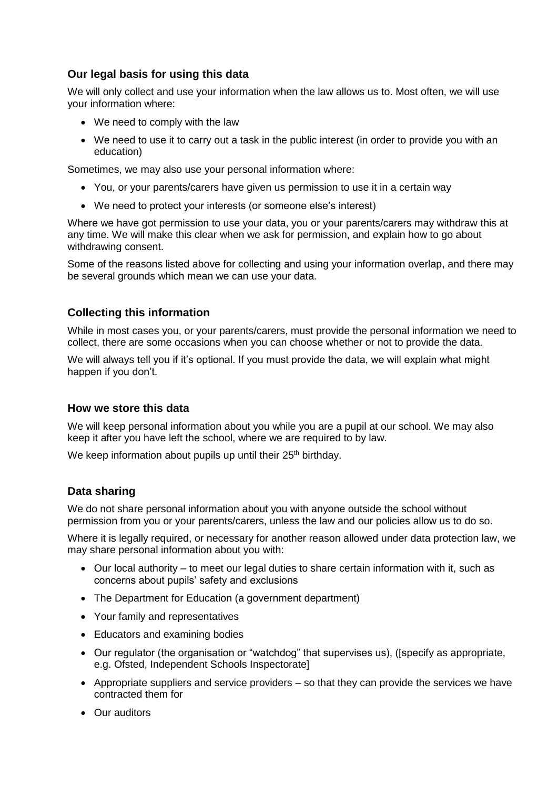# **Our legal basis for using this data**

We will only collect and use your information when the law allows us to. Most often, we will use your information where:

- We need to comply with the law
- We need to use it to carry out a task in the public interest (in order to provide you with an education)

Sometimes, we may also use your personal information where:

- You, or your parents/carers have given us permission to use it in a certain way
- We need to protect your interests (or someone else's interest)

Where we have got permission to use your data, you or your parents/carers may withdraw this at any time. We will make this clear when we ask for permission, and explain how to go about withdrawing consent.

Some of the reasons listed above for collecting and using your information overlap, and there may be several grounds which mean we can use your data.

# **Collecting this information**

While in most cases you, or your parents/carers, must provide the personal information we need to collect, there are some occasions when you can choose whether or not to provide the data.

We will always tell you if it's optional. If you must provide the data, we will explain what might happen if you don't.

#### **How we store this data**

We will keep personal information about you while you are a pupil at our school. We may also keep it after you have left the school, where we are required to by law.

We keep information about pupils up until their 25<sup>th</sup> birthday.

## **Data sharing**

We do not share personal information about you with anyone outside the school without permission from you or your parents/carers, unless the law and our policies allow us to do so.

Where it is legally required, or necessary for another reason allowed under data protection law, we may share personal information about you with:

- Our local authority to meet our legal duties to share certain information with it, such as concerns about pupils' safety and exclusions
- The Department for Education (a government department)
- Your family and representatives
- Educators and examining bodies
- Our regulator (the organisation or "watchdog" that supervises us), ([specify as appropriate, e.g. Ofsted, Independent Schools Inspectorate]
- Appropriate suppliers and service providers  $-$  so that they can provide the services we have contracted them for
- Our auditors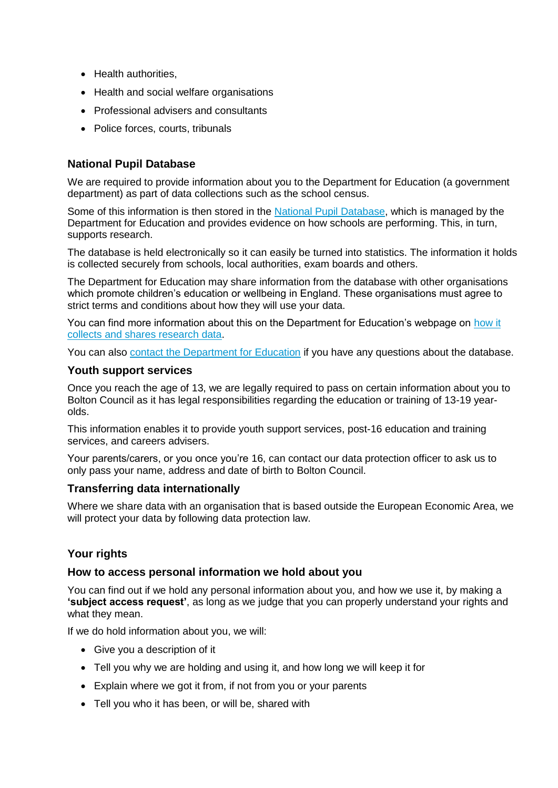- Health authorities,
- Health and social welfare organisations
- Professional advisers and consultants
- Police forces, courts, tribunals

#### **National Pupil Database**

We are required to provide information about you to the Department for Education (a government department) as part of data collections such as the school census.

Some of this information is then stored in the [National Pupil Database,](https://www.gov.uk/government/publications/national-pupil-database-user-guide-and-supporting-information) which is managed by the Department for Education and provides evidence on how schools are performing. This, in turn, supports research.

The database is held electronically so it can easily be turned into statistics. The information it holds is collected securely from schools, local authorities, exam boards and others.

The Department for Education may share information from the database with other organisations which promote children's education or wellbeing in England. These organisations must agree to strict terms and conditions about how they will use your data.

You can find more information about this on the Department for Education's webpage on [how it](https://www.gov.uk/data-protection-how-we-collect-and-share-research-data)  [collects and shares research data.](https://www.gov.uk/data-protection-how-we-collect-and-share-research-data)

You can also [contact the Department for Education](https://www.gov.uk/contact-dfe) if you have any questions about the database.

#### **Youth support services**

Once you reach the age of 13, we are legally required to pass on certain information about you to Bolton Council as it has legal responsibilities regarding the education or training of 13-19 yearolds.

This information enables it to provide youth support services, post-16 education and training services, and careers advisers.

Your parents/carers, or you once you're 16, can contact our data protection officer to ask us to only pass your name, address and date of birth to Bolton Council.

#### **Transferring data internationally**

Where we share data with an organisation that is based outside the European Economic Area, we will protect your data by following data protection law.

## **Your rights**

#### **How to access personal information we hold about you**

You can find out if we hold any personal information about you, and how we use it, by making a **'subject access request'**, as long as we judge that you can properly understand your rights and what they mean.

If we do hold information about you, we will:

- Give you a description of it
- Tell you why we are holding and using it, and how long we will keep it for
- Explain where we got it from, if not from you or your parents
- Tell you who it has been, or will be, shared with